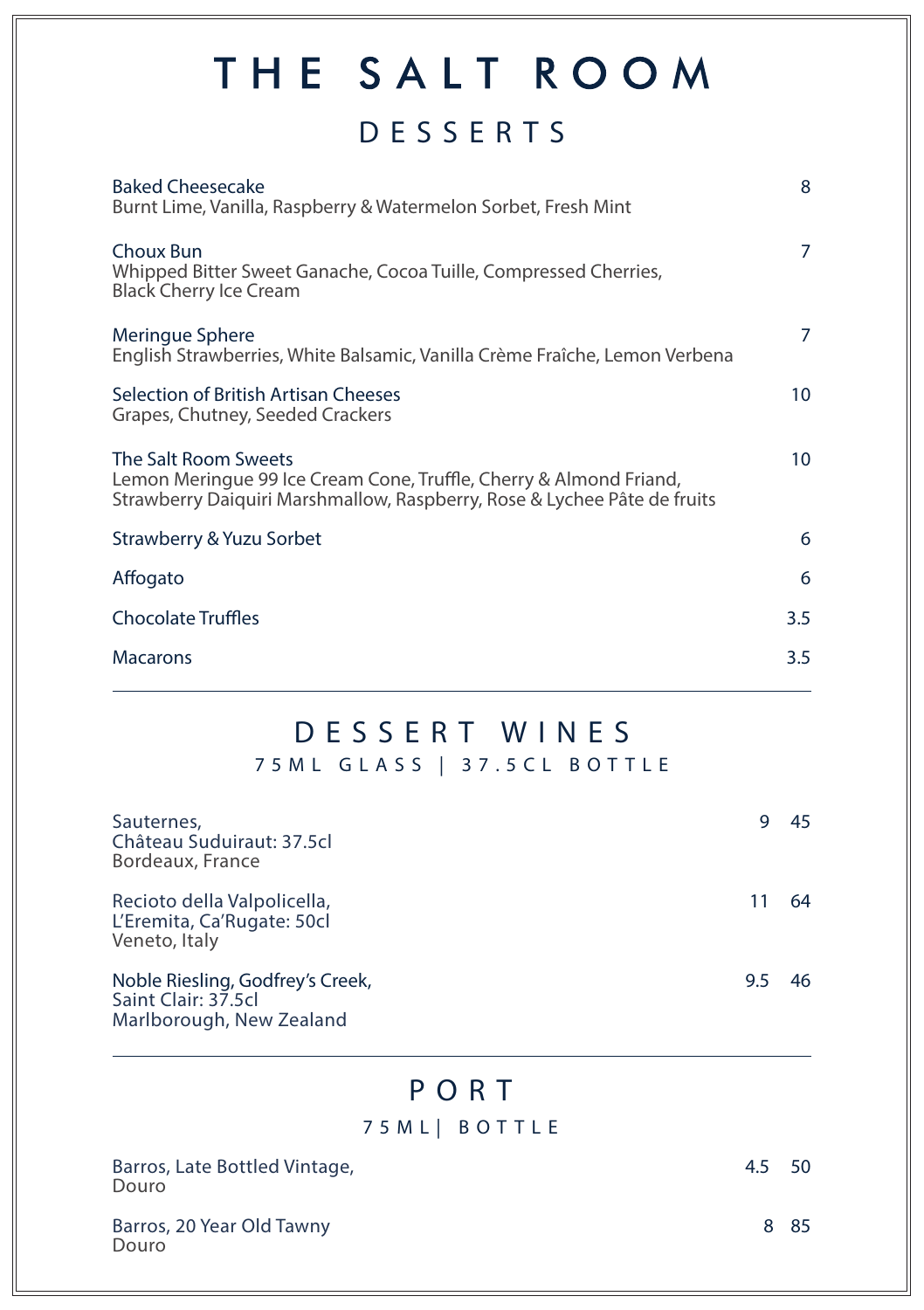# THE SALT ROOM

## DESSERTS

| <b>Baked Cheesecake</b><br>Burnt Lime, Vanilla, Raspberry & Watermelon Sorbet, Fresh Mint                                                                              | 8   |
|------------------------------------------------------------------------------------------------------------------------------------------------------------------------|-----|
| Choux Bun<br>Whipped Bitter Sweet Ganache, Cocoa Tuille, Compressed Cherries,<br><b>Black Cherry Ice Cream</b>                                                         | 7   |
| Meringue Sphere<br>English Strawberries, White Balsamic, Vanilla Crème Fraîche, Lemon Verbena                                                                          | 7   |
| Selection of British Artisan Cheeses<br>Grapes, Chutney, Seeded Crackers                                                                                               | 10  |
| The Salt Room Sweets<br>Lemon Meringue 99 Ice Cream Cone, Truffle, Cherry & Almond Friand,<br>Strawberry Daiquiri Marshmallow, Raspberry, Rose & Lychee Pâte de fruits | 10  |
| Strawberry & Yuzu Sorbet                                                                                                                                               | 6   |
| Affogato                                                                                                                                                               | 6   |
| <b>Chocolate Truffles</b>                                                                                                                                              | 3.5 |
| <b>Macarons</b>                                                                                                                                                        | 3.5 |
|                                                                                                                                                                        |     |

## DESSERT WINES

75ML GLASS | 37.5CL BOTTLE

| Sauternes,<br>Château Suduiraut: 37.5cl<br>Bordeaux, France                         |     | 45 |
|-------------------------------------------------------------------------------------|-----|----|
| Recioto della Valpolicella,<br>L'Eremita, Ca'Rugate: 50cl<br>Veneto, Italy          |     | 64 |
| Noble Riesling, Godfrey's Creek,<br>Saint Clair: 37.5cl<br>Marlborough, New Zealand | 9.5 | 46 |

### PORT

#### 75ML| BOTTLE

| Barros, Late Bottled Vintage,<br>Douro | 4.5 | 50 |
|----------------------------------------|-----|----|
| Barros, 20 Year Old Tawny<br>Douro     |     | 85 |